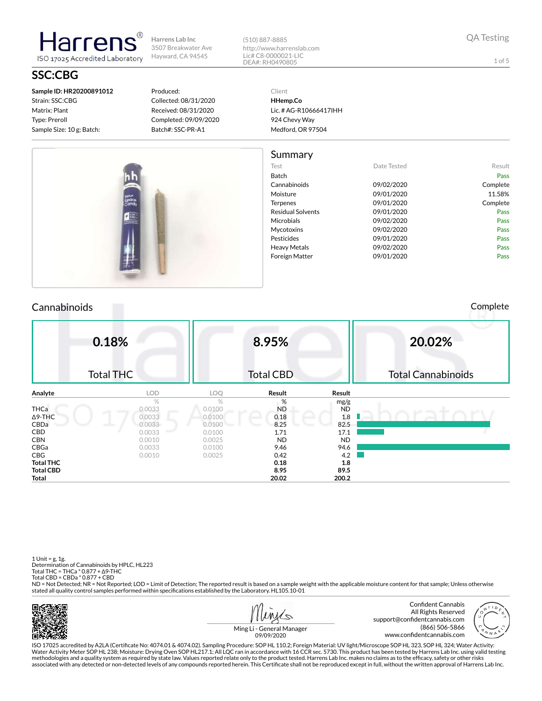(510) 887-8885

# **SSC:CBG**

**Sample ID: HR20200891012** Strain: SSC:CBG Matrix: Plant Type: Preroll Sample Size: 10 g; Batch:

larrer

ISO 17025 Accredited Laboratory

#### Produced: Collected: 08/31/2020 Received: 08/31/2020 Completed: 09/09/2020 Batch#: SSC-PR-A1

http://www.harrenslab.com Lic# C8-0000021-LIC DEA#: RH0490805

Summary

Lic. # AG-R10666417IHH 924 Chevy Way Medford, OR 97504

Test **Date Tested** Result Batch Pass Cannabinoids 09/02/2020 Complete Moisture 09/01/2020 11.58% Terpenes 09/01/2020 Complete Residual Solvents **COMPUS COMPUS CONTENT** OP/01/2020 Microbials **D9/02/2020** Pass Mycotoxins 09/02/2020 Pass Pesticides **D9/01/2020** Pass Heavy Metals **D9/02/2020** Pass Foreign Matter **09/01/2020** Pass

Client **HHemp.Co**

#### QA Testing

1 of 5



### Cannabinoids Complete

|                  | 0.18%<br><b>Total THC</b> |            | 8.95%<br><b>Total CBD</b> |           | 20.02%<br><b>Total Cannabinoids</b> |
|------------------|---------------------------|------------|---------------------------|-----------|-------------------------------------|
| Analyte          | <b>LOD</b>                | <b>LOQ</b> | Result                    | Result    |                                     |
|                  | $\%$                      | $\%$       | %                         | mg/g      |                                     |
| <b>THCa</b>      | 0.0033                    | 0.0100     | <b>ND</b>                 | <b>ND</b> |                                     |
| $\Delta$ 9-THC   | 0.0033                    | 0.0100     | 0.18                      | 1.8       |                                     |
| <b>CBDa</b>      | 0.0033                    | 0.0100     | 8.25                      | 82.5      |                                     |
| CBD              | 0.0033                    | 0.0100     | 1.71                      | 17.1      |                                     |
| <b>CBN</b>       | 0.0010                    | 0.0025     | <b>ND</b>                 | <b>ND</b> |                                     |
| CBGa             | 0.0033                    | 0.0100     | 9.46                      | 94.6      |                                     |
| CBG              | 0.0010                    | 0.0025     | 0.42                      | 4.2       |                                     |
| <b>Total THC</b> |                           |            | 0.18                      | 1.8       |                                     |
| <b>Total CBD</b> |                           |            | 8.95                      | 89.5      |                                     |
| Total            |                           |            | 20.02                     | 200.2     |                                     |

1 Unit = g, 1g. Determination of Cannabinoids by HPLC, HL223 Total THC = THCa \* 0.877 + ∆9-THC Total CBD = CBDa \* 0.877 + CBD

ND = Not Detected; NR = Not Reported; LOD = Limit of Detection; The reported result is based on a sample weight with the applicable moisture content for that sample; Unless otherwise stated all quality control samples performed within specifications established by the Laboratory. HL105.10-01







Ming Li - General Manager 09/09/2020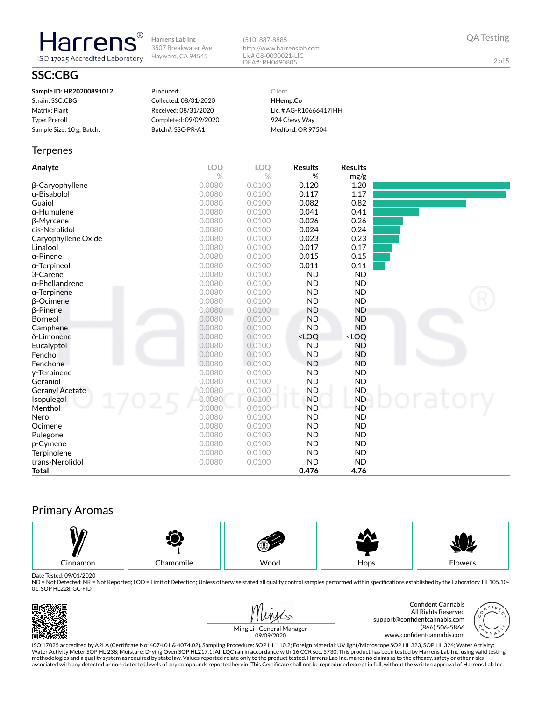(510) 887-8885 http://www.harrenslab.com Lic# C8-0000021-LIC DEA#: RH0490805

QA Testing

2 of 5

# **SSC:CBG**

**Harrens** 

ISO 17025 Accredited Laboratory

| Sample ID: HR20200891012  | Produced:             | Client                 |
|---------------------------|-----------------------|------------------------|
| Strain: SSC:CBG           | Collected: 08/31/2020 | HHemp.Co               |
| Matrix: Plant             | Received: 08/31/2020  | Lic. # AG-R10666417IHH |
| Type: Preroll             | Completed: 09/09/2020 | 924 Chevy Way          |
| Sample Size: 10 g; Batch: | Batch#: SSC-PR-A1     | Medford, OR 97504      |

#### **Terpenes**

| Analyte                | <b>LOD</b> | <b>LOO</b> | <b>Results</b>                                           | <b>Results</b>               |  |
|------------------------|------------|------------|----------------------------------------------------------|------------------------------|--|
|                        | $\%$       | $\%$       | %                                                        | mg/g                         |  |
| β-Caryophyllene        | 0.0080     | 0.0100     | 0.120                                                    | 1.20                         |  |
| $\alpha$ -Bisabolol    | 0.0080     | 0.0100     | 0.117                                                    | 1.17                         |  |
| Guaiol                 | 0.0080     | 0.0100     | 0.082                                                    | 0.82                         |  |
| $\alpha$ -Humulene     | 0.0080     | 0.0100     | 0.041                                                    | 0.41                         |  |
| β-Myrcene              | 0.0080     | 0.0100     | 0.026                                                    | 0.26                         |  |
| cis-Nerolidol          | 0.0080     | 0.0100     | 0.024                                                    | 0.24                         |  |
| Caryophyllene Oxide    | 0.0080     | 0.0100     | 0.023                                                    | 0.23                         |  |
| Linalool               | 0.0080     | 0.0100     | 0.017                                                    | 0.17                         |  |
| $\alpha$ -Pinene       | 0.0080     | 0.0100     | 0.015                                                    | 0.15                         |  |
| $\alpha$ -Terpineol    | 0.0080     | 0.0100     | 0.011                                                    | 0.11                         |  |
| 3-Carene               | 0.0080     | 0.0100     | <b>ND</b>                                                | <b>ND</b>                    |  |
| $\alpha$ -Phellandrene | 0.0080     | 0.0100     | <b>ND</b>                                                | <b>ND</b>                    |  |
| $\alpha$ -Terpinene    | 0.0080     | 0.0100     | <b>ND</b>                                                | <b>ND</b>                    |  |
| $\beta$ -Ocimene       | 0.0080     | 0.0100     | <b>ND</b>                                                | <b>ND</b>                    |  |
| $\beta$ -Pinene        | 0.0080     | 0.0100     | <b>ND</b>                                                | <b>ND</b>                    |  |
| Borneol                | 0.0080     | 0.0100     | <b>ND</b>                                                | <b>ND</b>                    |  |
| Camphene               | 0.0080     | 0.0100     | <b>ND</b>                                                | <b>ND</b>                    |  |
| δ-Limonene             | 0.0080     | 0.0100     | <loq< th=""><th><loq< th=""><th></th></loq<></th></loq<> | <loq< th=""><th></th></loq<> |  |
| Eucalyptol             | 0.0080     | 0.0100     | <b>ND</b>                                                | <b>ND</b>                    |  |
| Fenchol                | 0.0080     | 0.0100     | <b>ND</b>                                                | <b>ND</b>                    |  |
| Fenchone               | 0.0080     | 0.0100     | <b>ND</b>                                                | <b>ND</b>                    |  |
| y-Terpinene            | 0.0080     | 0.0100     | <b>ND</b>                                                | <b>ND</b>                    |  |
| Geraniol               | 0.0080     | 0.0100     | <b>ND</b>                                                | <b>ND</b>                    |  |
| <b>Geranyl Acetate</b> | 0.0080     | 0.0100     | <b>ND</b>                                                | <b>ND</b>                    |  |
| Isopulegol             | 0.0080     | 0.0100     | <b>ND</b>                                                | <b>ND</b>                    |  |
| Menthol                | 0.0080     | 0.0100     | <b>ND</b>                                                | <b>ND</b>                    |  |
| Nerol                  | 0.0080     | 0.0100     | <b>ND</b>                                                | <b>ND</b>                    |  |
| Ocimene                | 0.0080     | 0.0100     | <b>ND</b>                                                | <b>ND</b>                    |  |
| Pulegone               | 0.0080     | 0.0100     | <b>ND</b>                                                | <b>ND</b>                    |  |
| p-Cymene               | 0.0080     | 0.0100     | <b>ND</b>                                                | <b>ND</b>                    |  |
| Terpinolene            | 0.0080     | 0.0100     | <b>ND</b>                                                | <b>ND</b>                    |  |
| trans-Nerolidol        | 0.0080     | 0.0100     | <b>ND</b>                                                | <b>ND</b>                    |  |
| Total                  |            |            | 0.476                                                    | 4.76                         |  |

# Primary Aromas



Date Tested: 09/01/2020<br>ND = Not Detected; NR = Not Reported; LOD = Limit of Detection; Unless otherwise stated all quality control samples performed within specifications established by the Laboratory. HL105.10-01. SOP HL228. GC-FID





support@confidentcannabis.com www.confidentcannabis.com

Ming Li - General Manager 09/09/2020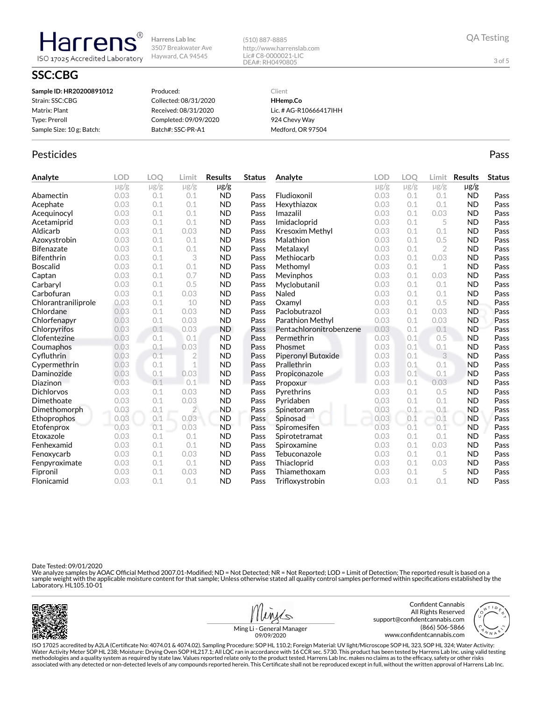(510) 887-8885 http://www.harrenslab.com Lic# C8-0000021-LIC DEA#: RH0490805

## **SSC:CBG**

Harrens

ISO 17025 Accredited Laboratory

| Sample ID: HR20200891012  | Produced:             | Client                 |
|---------------------------|-----------------------|------------------------|
| Strain: SSC:CBG           | Collected: 08/31/2020 | HHemp.Co               |
| Matrix: Plant             | Received: 08/31/2020  | Lic. # AG-R10666417IHH |
| Type: Preroll             | Completed: 09/09/2020 | 924 Chevy Way          |
| Sample Size: 10 g; Batch: | Batch#: SSC-PR-A1     | Medford, OR 97504      |
|                           |                       |                        |

#### Pesticides **Passage Community Community Community** Passes and the extension of the extension of the extension of the extension of the extension of the extension of the extension of the extension of the extension of the ext

| Analyte             | <b>LOD</b> | LOO       | Limit          | <b>Results</b> | <b>Status</b> | Analyte                 | <b>LOD</b> | <b>LOO</b> | Limit          | <b>Results</b> | <b>Status</b> |
|---------------------|------------|-----------|----------------|----------------|---------------|-------------------------|------------|------------|----------------|----------------|---------------|
|                     | $\mu$ g/g  | $\mu$ g/g | $\mu$ g/g      | $\mu$ g/g      |               |                         | $\mu$ g/g  | $\mu$ g/g  | $\mu$ g/g      | $\mu$ g/g      |               |
| Abamectin           | 0.03       | 0.1       | 0.1            | <b>ND</b>      | Pass          | Fludioxonil             | 0.03       | 0.1        | 0.1            | <b>ND</b>      | Pass          |
| Acephate            | 0.03       | 0.1       | 0.1            | <b>ND</b>      | Pass          | Hexythiazox             | 0.03       | 0.1        | 0.1            | <b>ND</b>      | Pass          |
| Acequinocyl         | 0.03       | 0.1       | 0.1            | <b>ND</b>      | Pass          | Imazalil                | 0.03       | 0.1        | 0.03           | <b>ND</b>      | Pass          |
| Acetamiprid         | 0.03       | 0.1       | 0.1            | <b>ND</b>      | Pass          | Imidacloprid            | 0.03       | 0.1        | 5              | <b>ND</b>      | Pass          |
| Aldicarb            | 0.03       | 0.1       | 0.03           | <b>ND</b>      | Pass          | <b>Kresoxim Methyl</b>  | 0.03       | 0.1        | 0.1            | <b>ND</b>      | Pass          |
| Azoxystrobin        | 0.03       | 0.1       | 0.1            | <b>ND</b>      | Pass          | Malathion               | 0.03       | 0.1        | 0.5            | <b>ND</b>      | Pass          |
| <b>Bifenazate</b>   | 0.03       | 0.1       | 0.1            | <b>ND</b>      | Pass          | Metalaxyl               | 0.03       | 0.1        | $\overline{2}$ | <b>ND</b>      | Pass          |
| <b>Bifenthrin</b>   | 0.03       | 0.1       | 3              | <b>ND</b>      | Pass          | Methiocarb              | 0.03       | 0.1        | 0.03           | <b>ND</b>      | Pass          |
| <b>Boscalid</b>     | 0.03       | 0.1       | 0.1            | <b>ND</b>      | Pass          | Methomyl                | 0.03       | 0.1        | $\mathbf 1$    | <b>ND</b>      | Pass          |
| Captan              | 0.03       | 0.1       | 0.7            | <b>ND</b>      | Pass          | Mevinphos               | 0.03       | 0.1        | 0.03           | <b>ND</b>      | Pass          |
| Carbaryl            | 0.03       | 0.1       | 0.5            | <b>ND</b>      | Pass          | Myclobutanil            | 0.03       | 0.1        | 0.1            | <b>ND</b>      | Pass          |
| Carbofuran          | 0.03       | 0.1       | 0.03           | <b>ND</b>      | Pass          | Naled                   | 0.03       | 0.1        | 0.1            | <b>ND</b>      | Pass          |
| Chlorantraniliprole | 0.03       | 0.1       | 10             | <b>ND</b>      | Pass          | Oxamyl                  | 0.03       | 0.1        | 0.5            | <b>ND</b>      | Pass          |
| Chlordane           | 0.03       | 0.1       | 0.03           | <b>ND</b>      | Pass          | Paclobutrazol           | 0.03       | 0.1        | 0.03           | <b>ND</b>      | Pass          |
| Chlorfenapyr        | 0.03       | 0.1       | 0.03           | <b>ND</b>      | Pass          | Parathion Methyl        | 0.03       | 0.1        | 0.03           | <b>ND</b>      | Pass          |
| Chlorpyrifos        | 0.03       | 0.1       | 0.03           | <b>ND</b>      | Pass          | Pentachloronitrobenzene | 0.03       | 0.1        | 0.1            | <b>ND</b>      | Pass          |
| Clofentezine        | 0.03       | 0.1       | 0.1            | <b>ND</b>      | Pass          | Permethrin              | 0.03       | 0.1        | 0.5            | <b>ND</b>      | Pass          |
| Coumaphos           | 0.03       | 0.1       | 0.03           | <b>ND</b>      | Pass          | Phosmet                 | 0.03       | 0.1        | 0.1            | <b>ND</b>      | Pass          |
| Cyfluthrin          | 0.03       | 0.1       | $\overline{2}$ | <b>ND</b>      | Pass          | Piperonyl Butoxide      | 0.03       | 0.1        | 3              | <b>ND</b>      | Pass          |
| Cypermethrin        | 0.03       | 0.1       | 1              | <b>ND</b>      | Pass          | Prallethrin             | 0.03       | 0.1        | 0.1            | <b>ND</b>      | Pass          |
| Daminozide          | 0.03       | 0.1       | 0.03           | <b>ND</b>      | Pass          | Propiconazole           | 0.03       | 0.1        | 0.1            | <b>ND</b>      | Pass          |
| Diazinon            | 0.03       | 0.1       | 0.1            | <b>ND</b>      | Pass          | Propoxur                | 0.03       | 0.1        | 0.03           | <b>ND</b>      | Pass          |
| <b>Dichlorvos</b>   | 0.03       | 0.1       | 0.03           | <b>ND</b>      | Pass          | Pyrethrins              | 0.03       | 0.1        | 0.5            | <b>ND</b>      | Pass          |
| Dimethoate          | 0.03       | 0.1       | 0.03           | <b>ND</b>      | Pass          | Pyridaben               | 0.03       | 0.1        | 0.1            | <b>ND</b>      | Pass          |
| Dimethomorph        | 0.03       | 0.1       | $\overline{2}$ | <b>ND</b>      | Pass          | Spinetoram              | 0.03       | 0.1        | 0.1            | <b>ND</b>      | Pass          |
| Ethoprophos         | 0.03       | 0.1       | 0.03           | <b>ND</b>      | Pass          | Spinosad                | 0.03       | 0.1        | 0.1            | <b>ND</b>      | Pass          |
| Etofenprox          | 0.03       | 0.1       | 0.03           | <b>ND</b>      | Pass          | Spiromesifen            | 0.03       | 0.1        | 0.1            | <b>ND</b>      | Pass          |
| Etoxazole           | 0.03       | 0.1       | 0.1            | <b>ND</b>      | Pass          | Spirotetramat           | 0.03       | 0.1        | 0.1            | <b>ND</b>      | Pass          |
| Fenhexamid          | 0.03       | 0.1       | 0.1            | <b>ND</b>      | Pass          | Spiroxamine             | 0.03       | 0.1        | 0.03           | <b>ND</b>      | Pass          |
| Fenoxycarb          | 0.03       | 0.1       | 0.03           | <b>ND</b>      | Pass          | Tebuconazole            | 0.03       | 0.1        | 0.1            | <b>ND</b>      | Pass          |
| Fenpyroximate       | 0.03       | 0.1       | 0.1            | <b>ND</b>      | Pass          | Thiacloprid             | 0.03       | 0.1        | 0.03           | <b>ND</b>      | Pass          |
| Fipronil            | 0.03       | 0.1       | 0.03           | <b>ND</b>      | Pass          | Thiamethoxam            | 0.03       | 0.1        | 5              | <b>ND</b>      | Pass          |
| Flonicamid          | 0.03       | 0.1       | 0.1            | <b>ND</b>      | Pass          | Trifloxystrobin         | 0.03       | 0.1        | 0.1            | <b>ND</b>      | Pass          |

Date Tested: 09/01/2020

We analyze samples by AOAC Official Method 2007.01-Modified; ND = Not Detected; NR = Not Reported; LOD = Limit of Detection; The reported result is based on a<br>sample weight with the applicable moisture content for that sam





3 of 5

support@confidentcannabis.com www.confidentcannabis.com

Ming Li - General Manager 09/09/2020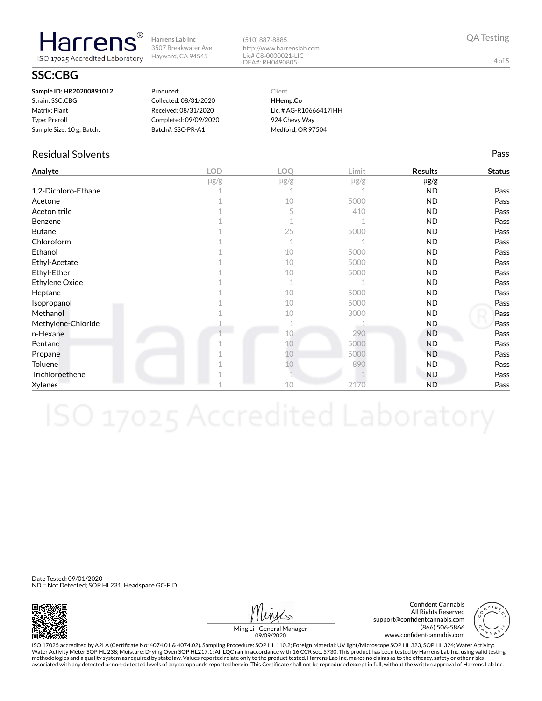(510) 887-8885 http://www.harrenslab.com Lic# C8-0000021-LIC DEA#: RH0490805

### **SSC:CBG**

**Harrens** 

ISO 17025 Accredited Laboratory

| Sample ID: HR20200891012  | Produced:             | Client                 |
|---------------------------|-----------------------|------------------------|
| Strain: SSC:CBG           | Collected: 08/31/2020 | HHemp.Co               |
| Matrix: Plant             | Received: 08/31/2020  | Lic. # AG-R10666417IHH |
| Type: Preroll             | Completed: 09/09/2020 | 924 Chevy Way          |
| Sample Size: 10 g; Batch: | Batch#: SSC-PR-A1     | Medford, OR 97504      |

#### Residual Solvents Pass

| Analyte             | <b>LOD</b> | LOQ       | Limit     | <b>Results</b> | <b>Status</b> |
|---------------------|------------|-----------|-----------|----------------|---------------|
|                     | $\mu$ g/g  | $\mu$ g/g | $\mu$ g/g | $\mu$ g/g      |               |
| 1,2-Dichloro-Ethane |            |           |           | <b>ND</b>      | Pass          |
| Acetone             |            | 10        | 5000      | <b>ND</b>      | Pass          |
| Acetonitrile        |            | 5         | 410       | <b>ND</b>      | Pass          |
| Benzene             |            |           |           | <b>ND</b>      | Pass          |
| <b>Butane</b>       |            | 25        | 5000      | <b>ND</b>      | Pass          |
| Chloroform          |            | 1         |           | <b>ND</b>      | Pass          |
| Ethanol             |            | 10        | 5000      | <b>ND</b>      | Pass          |
| Ethyl-Acetate       |            | 10        | 5000      | <b>ND</b>      | Pass          |
| Ethyl-Ether         |            | 10        | 5000      | <b>ND</b>      | Pass          |
| Ethylene Oxide      |            | 1         |           | <b>ND</b>      | Pass          |
| Heptane             |            | 10        | 5000      | <b>ND</b>      | Pass          |
| Isopropanol         |            | 10        | 5000      | <b>ND</b>      | Pass          |
| Methanol            |            | 10        | 3000      | <b>ND</b>      | Pass          |
| Methylene-Chloride  |            |           |           | ND.            | Pass          |
| n-Hexane            |            | 10        | 290       | <b>ND</b>      | Pass          |
| Pentane             |            | 10        | 5000      | <b>ND</b>      | Pass          |
| Propane             |            | 10        | 5000      | <b>ND</b>      | Pass          |
| Toluene             |            | 10        | 890       | ND.            | Pass          |
| Trichloroethene     |            |           |           | <b>ND</b>      | Pass          |
| Xylenes             |            | 10        | 2170      | <b>ND</b>      | Pass          |

Date Tested: 09/01/2020 ND = Not Detected; SOP HL231. Headspace GC-FID



Confident Cannabis All Rights Reserved support@confidentcannabis.com (866) 506-5866 www.confidentcannabis.com



Ming Li - General Manager 09/09/2020